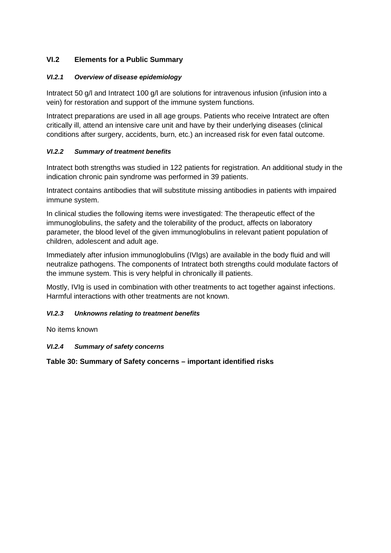# **VI.2 Elements for a Public Summary**

# *VI.2.1 Overview of disease epidemiology*

Intratect 50 g/l and Intratect 100 g/l are solutions for intravenous infusion (infusion into a vein) for restoration and support of the immune system functions.

Intratect preparations are used in all age groups. Patients who receive Intratect are often critically ill, attend an intensive care unit and have by their underlying diseases (clinical conditions after surgery, accidents, burn, etc.) an increased risk for even fatal outcome.

## *VI.2.2 Summary of treatment benefits*

Intratect both strengths was studied in 122 patients for registration. An additional study in the indication chronic pain syndrome was performed in 39 patients.

Intratect contains antibodies that will substitute missing antibodies in patients with impaired immune system.

In clinical studies the following items were investigated: The therapeutic effect of the immunoglobulins, the safety and the tolerability of the product, affects on laboratory parameter, the blood level of the given immunoglobulins in relevant patient population of children, adolescent and adult age.

Immediately after infusion immunoglobulins (IVIgs) are available in the body fluid and will neutralize pathogens. The components of Intratect both strengths could modulate factors of the immune system. This is very helpful in chronically ill patients.

Mostly, IVIg is used in combination with other treatments to act together against infections. Harmful interactions with other treatments are not known.

# *VI.2.3 Unknowns relating to treatment benefits*

No items known

# *VI.2.4 Summary of safety concerns*

**Table 30: Summary of Safety concerns – important identified risks**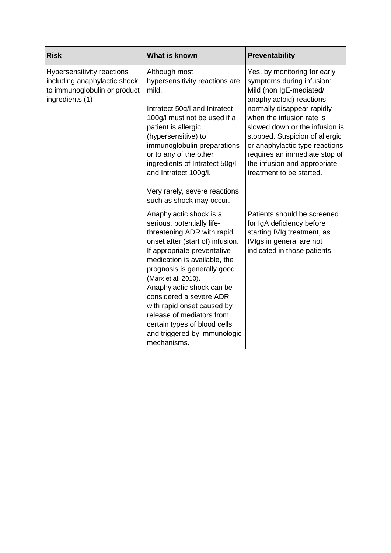| <b>Risk</b>                                                                                                   | <b>What is known</b>                                                                                                                                                                                                                                                                                                                                                                                                                           | <b>Preventability</b>                                                                                                                                                                                                                                                                                                                                                          |
|---------------------------------------------------------------------------------------------------------------|------------------------------------------------------------------------------------------------------------------------------------------------------------------------------------------------------------------------------------------------------------------------------------------------------------------------------------------------------------------------------------------------------------------------------------------------|--------------------------------------------------------------------------------------------------------------------------------------------------------------------------------------------------------------------------------------------------------------------------------------------------------------------------------------------------------------------------------|
| Hypersensitivity reactions<br>including anaphylactic shock<br>to immunoglobulin or product<br>ingredients (1) | Although most<br>hypersensitivity reactions are<br>mild.<br>Intratect 50g/I and Intratect<br>100g/l must not be used if a<br>patient is allergic<br>(hypersensitive) to<br>immunoglobulin preparations<br>or to any of the other<br>ingredients of Intratect 50g/l<br>and Intratect 100g/l.<br>Very rarely, severe reactions<br>such as shock may occur.                                                                                       | Yes, by monitoring for early<br>symptoms during infusion:<br>Mild (non IgE-mediated/<br>anaphylactoid) reactions<br>normally disappear rapidly<br>when the infusion rate is<br>slowed down or the infusion is<br>stopped. Suspicion of allergic<br>or anaphylactic type reactions<br>requires an immediate stop of<br>the infusion and appropriate<br>treatment to be started. |
|                                                                                                               | Anaphylactic shock is a<br>serious, potentially life-<br>threatening ADR with rapid<br>onset after (start of) infusion.<br>If appropriate preventative<br>medication is available, the<br>prognosis is generally good<br>(Marx et al. 2010).<br>Anaphylactic shock can be<br>considered a severe ADR<br>with rapid onset caused by<br>release of mediators from<br>certain types of blood cells<br>and triggered by immunologic<br>mechanisms. | Patients should be screened<br>for IgA deficiency before<br>starting IVIg treatment, as<br>IVIgs in general are not<br>indicated in those patients.                                                                                                                                                                                                                            |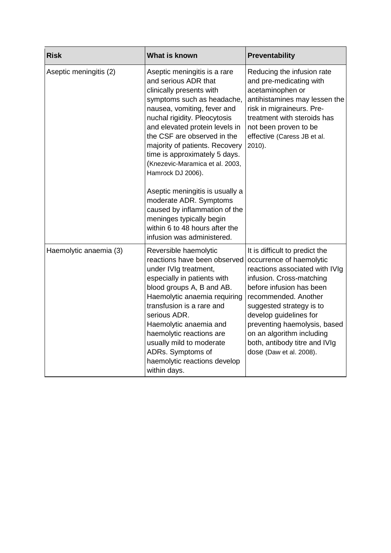| <b>Risk</b>            | What is known                                                                                                                                                                                                                                                                                                                                                                                                                                                                                                                                                       | Preventability                                                                                                                                                                                                                                                                                                                                              |
|------------------------|---------------------------------------------------------------------------------------------------------------------------------------------------------------------------------------------------------------------------------------------------------------------------------------------------------------------------------------------------------------------------------------------------------------------------------------------------------------------------------------------------------------------------------------------------------------------|-------------------------------------------------------------------------------------------------------------------------------------------------------------------------------------------------------------------------------------------------------------------------------------------------------------------------------------------------------------|
| Aseptic meningitis (2) | Aseptic meningitis is a rare<br>and serious ADR that<br>clinically presents with<br>symptoms such as headache,<br>nausea, vomiting, fever and<br>nuchal rigidity. Pleocytosis<br>and elevated protein levels in<br>the CSF are observed in the<br>majority of patients. Recovery<br>time is approximately 5 days.<br>(Knezevic-Maramica et al. 2003,<br>Hamrock DJ 2006).<br>Aseptic meningitis is usually a<br>moderate ADR. Symptoms<br>caused by inflammation of the<br>meninges typically begin<br>within 6 to 48 hours after the<br>infusion was administered. | Reducing the infusion rate<br>and pre-medicating with<br>acetaminophen or<br>antihistamines may lessen the<br>risk in migraineurs. Pre-<br>treatment with steroids has<br>not been proven to be<br>effective (Caress JB et al.<br>$2010$ ).                                                                                                                 |
| Haemolytic anaemia (3) | Reversible haemolytic<br>reactions have been observed<br>under IVIg treatment,<br>especially in patients with<br>blood groups A, B and AB.<br>Haemolytic anaemia requiring<br>transfusion is a rare and<br>serious ADR.<br>Haemolytic anaemia and<br>haemolytic reactions are<br>usually mild to moderate<br>ADRs. Symptoms of<br>haemolytic reactions develop<br>within days.                                                                                                                                                                                      | It is difficult to predict the<br>occurrence of haemolytic<br>reactions associated with IVIg<br>infusion. Cross-matching<br>before infusion has been<br>recommended. Another<br>suggested strategy is to<br>develop guidelines for<br>preventing haemolysis, based<br>on an algorithm including<br>both, antibody titre and IVIg<br>dose (Daw et al. 2008). |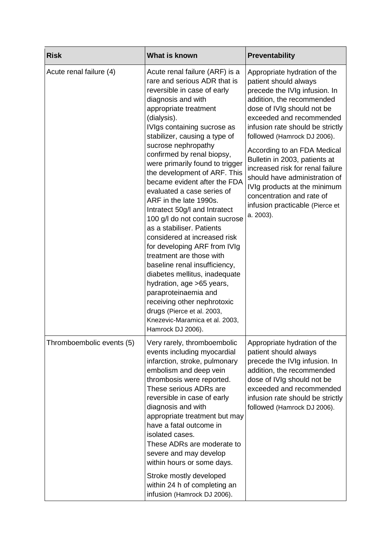| <b>Risk</b>               | What is known                                                                                                                                                                                                                                                                                                                                                                                                                                                                                                                                                                                                                                                                                                                                                                                                                                                                      | Preventability                                                                                                                                                                                                                                                                                                                                                                                                                                                                                     |
|---------------------------|------------------------------------------------------------------------------------------------------------------------------------------------------------------------------------------------------------------------------------------------------------------------------------------------------------------------------------------------------------------------------------------------------------------------------------------------------------------------------------------------------------------------------------------------------------------------------------------------------------------------------------------------------------------------------------------------------------------------------------------------------------------------------------------------------------------------------------------------------------------------------------|----------------------------------------------------------------------------------------------------------------------------------------------------------------------------------------------------------------------------------------------------------------------------------------------------------------------------------------------------------------------------------------------------------------------------------------------------------------------------------------------------|
| Acute renal failure (4)   | Acute renal failure (ARF) is a<br>rare and serious ADR that is<br>reversible in case of early<br>diagnosis and with<br>appropriate treatment<br>(dialysis).<br>IVIgs containing sucrose as<br>stabilizer, causing a type of<br>sucrose nephropathy<br>confirmed by renal biopsy,<br>were primarily found to trigger<br>the development of ARF. This<br>became evident after the FDA<br>evaluated a case series of<br>ARF in the late 1990s.<br>Intratect 50g/I and Intratect<br>100 g/l do not contain sucrose<br>as a stabiliser. Patients<br>considered at increased risk<br>for developing ARF from IVIg<br>treatment are those with<br>baseline renal insufficiency,<br>diabetes mellitus, inadequate<br>hydration, age >65 years,<br>paraproteinaemia and<br>receiving other nephrotoxic<br>drugs (Pierce et al. 2003,<br>Knezevic-Maramica et al. 2003,<br>Hamrock DJ 2006). | Appropriate hydration of the<br>patient should always<br>precede the IVIg infusion. In<br>addition, the recommended<br>dose of IVIg should not be<br>exceeded and recommended<br>infusion rate should be strictly<br>followed (Hamrock DJ 2006).<br>According to an FDA Medical<br>Bulletin in 2003, patients at<br>increased risk for renal failure<br>should have administration of<br>IVIg products at the minimum<br>concentration and rate of<br>infusion practicable (Pierce et<br>a. 2003). |
| Thromboembolic events (5) | Very rarely, thromboembolic<br>events including myocardial<br>infarction, stroke, pulmonary<br>embolism and deep vein<br>thrombosis were reported.<br>These serious ADRs are<br>reversible in case of early<br>diagnosis and with<br>appropriate treatment but may<br>have a fatal outcome in<br>isolated cases.<br>These ADRs are moderate to<br>severe and may develop<br>within hours or some days.<br>Stroke mostly developed<br>within 24 h of completing an<br>infusion (Hamrock DJ 2006).                                                                                                                                                                                                                                                                                                                                                                                   | Appropriate hydration of the<br>patient should always<br>precede the IVIg infusion. In<br>addition, the recommended<br>dose of IVIg should not be<br>exceeded and recommended<br>infusion rate should be strictly<br>followed (Hamrock DJ 2006).                                                                                                                                                                                                                                                   |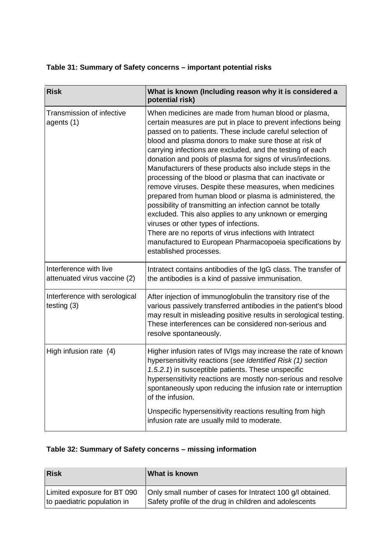# **Table 31: Summary of Safety concerns – important potential risks**

| <b>Risk</b>                                            | What is known (Including reason why it is considered a<br>potential risk)                                                                                                                                                                                                                                                                                                                                                                                                                                                                                                                                                                                                                                                                                                                                                                                                                                                               |
|--------------------------------------------------------|-----------------------------------------------------------------------------------------------------------------------------------------------------------------------------------------------------------------------------------------------------------------------------------------------------------------------------------------------------------------------------------------------------------------------------------------------------------------------------------------------------------------------------------------------------------------------------------------------------------------------------------------------------------------------------------------------------------------------------------------------------------------------------------------------------------------------------------------------------------------------------------------------------------------------------------------|
| Transmission of infective<br>agents (1)                | When medicines are made from human blood or plasma,<br>certain measures are put in place to prevent infections being<br>passed on to patients. These include careful selection of<br>blood and plasma donors to make sure those at risk of<br>carrying infections are excluded, and the testing of each<br>donation and pools of plasma for signs of virus/infections.<br>Manufacturers of these products also include steps in the<br>processing of the blood or plasma that can inactivate or<br>remove viruses. Despite these measures, when medicines<br>prepared from human blood or plasma is administered, the<br>possibility of transmitting an infection cannot be totally<br>excluded. This also applies to any unknown or emerging<br>viruses or other types of infections.<br>There are no reports of virus infections with Intratect<br>manufactured to European Pharmacopoeia specifications by<br>established processes. |
| Interference with live<br>attenuated virus vaccine (2) | Intratect contains antibodies of the IgG class. The transfer of<br>the antibodies is a kind of passive immunisation.                                                                                                                                                                                                                                                                                                                                                                                                                                                                                                                                                                                                                                                                                                                                                                                                                    |
| Interference with serological<br>testing $(3)$         | After injection of immunoglobulin the transitory rise of the<br>various passively transferred antibodies in the patient's blood<br>may result in misleading positive results in serological testing.<br>These interferences can be considered non-serious and<br>resolve spontaneously.                                                                                                                                                                                                                                                                                                                                                                                                                                                                                                                                                                                                                                                 |
| High infusion rate (4)                                 | Higher infusion rates of IVIgs may increase the rate of known<br>hypersensitivity reactions (see Identified Risk (1) section<br>1.5.2.1) in susceptible patients. These unspecific<br>hypersensitivity reactions are mostly non-serious and resolve<br>spontaneously upon reducing the infusion rate or interruption<br>of the infusion.<br>Unspecific hypersensitivity reactions resulting from high<br>infusion rate are usually mild to moderate.                                                                                                                                                                                                                                                                                                                                                                                                                                                                                    |

# **Table 32: Summary of Safety concerns – missing information**

| <b>Risk</b>                 | What is known                                              |
|-----------------------------|------------------------------------------------------------|
| Limited exposure for BT 090 | Only small number of cases for Intratect 100 g/l obtained. |
| to paediatric population in | Safety profile of the drug in children and adolescents     |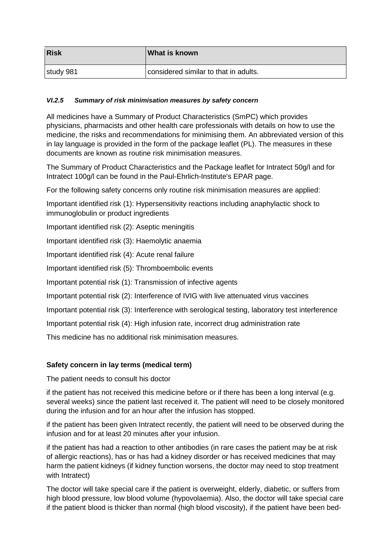| <b>Risk</b> | What is known                         |
|-------------|---------------------------------------|
| study 981   | considered similar to that in adults. |

## *VI.2.5 Summary of risk minimisation measures by safety concern*

All medicines have a Summary of Product Characteristics (SmPC) which provides physicians, pharmacists and other health care professionals with details on how to use the medicine, the risks and recommendations for minimising them. An abbreviated version of this in lay language is provided in the form of the package leaflet (PL). The measures in these documents are known as routine risk minimisation measures.

The Summary of Product Characteristics and the Package leaflet for Intratect 50g/l and for Intratect 100g/l can be found in the Paul-Ehrlich-Institute's EPAR page.

For the following safety concerns only routine risk minimisation measures are applied:

Important identified risk (1): Hypersensitivity reactions including anaphylactic shock to immunoglobulin or product ingredients

Important identified risk (2): Aseptic meningitis

Important identified risk (3): Haemolytic anaemia

Important identified risk (4): Acute renal failure

Important identified risk (5): Thromboembolic events

Important potential risk (1): Transmission of infective agents

Important potential risk (2): Interference of IVIG with live attenuated virus vaccines

Important potential risk (3): Interference with serological testing, laboratory test interference

Important potential risk (4): High infusion rate, incorrect drug administration rate

This medicine has no additional risk minimisation measures.

# **Safety concern in lay terms (medical term)**

The patient needs to consult his doctor

if the patient has not received this medicine before or if there has been a long interval (e.g. several weeks) since the patient last received it. The patient will need to be closely monitored during the infusion and for an hour after the infusion has stopped.

if the patient has been given Intratect recently, the patient will need to be observed during the infusion and for at least 20 minutes after your infusion.

if the patient has had a reaction to other antibodies (in rare cases the patient may be at risk of allergic reactions), has or has had a kidney disorder or has received medicines that may harm the patient kidneys (if kidney function worsens, the doctor may need to stop treatment with Intratect)

The doctor will take special care if the patient is overweight, elderly, diabetic, or suffers from high blood pressure, low blood volume (hypovolaemia). Also, the doctor will take special care if the patient blood is thicker than normal (high blood viscosity), if the patient have been bed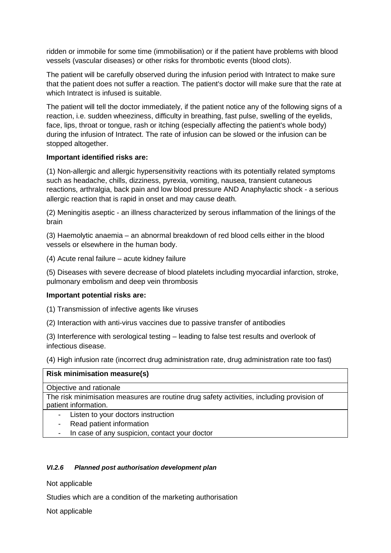ridden or immobile for some time (immobilisation) or if the patient have problems with blood vessels (vascular diseases) or other risks for thrombotic events (blood clots).

The patient will be carefully observed during the infusion period with Intratect to make sure that the patient does not suffer a reaction. The patient's doctor will make sure that the rate at which Intratect is infused is suitable.

The patient will tell the doctor immediately, if the patient notice any of the following signs of a reaction, i.e. sudden wheeziness, difficulty in breathing, fast pulse, swelling of the eyelids, face, lips, throat or tongue, rash or itching (especially affecting the patient's whole body) during the infusion of Intratect. The rate of infusion can be slowed or the infusion can be stopped altogether.

#### **Important identified risks are:**

(1) Non-allergic and allergic hypersensitivity reactions with its potentially related symptoms such as headache, chills, dizziness, pyrexia, vomiting, nausea, transient cutaneous reactions, arthralgia, back pain and low blood pressure AND Anaphylactic shock - a serious allergic reaction that is rapid in onset and may cause death.

(2) Meningitis aseptic - an illness characterized by serous inflammation of the linings of the brain

(3) Haemolytic anaemia – an abnormal breakdown of red blood cells either in the blood vessels or elsewhere in the human body.

(4) Acute renal failure – acute kidney failure

(5) Diseases with severe decrease of blood platelets including myocardial infarction, stroke, pulmonary embolism and deep vein thrombosis

#### **Important potential risks are:**

(1) Transmission of infective agents like viruses

(2) Interaction with anti-virus vaccines due to passive transfer of antibodies

(3) Interference with serological testing – leading to false test results and overlook of infectious disease.

(4) High infusion rate (incorrect drug administration rate, drug administration rate too fast)

#### **Risk minimisation measure(s)**

Objective and rationale

The risk minimisation measures are routine drug safety activities, including provision of patient information.

- Listen to your doctors instruction
- Read patient information
- In case of any suspicion, contact your doctor

#### *VI.2.6 Planned post authorisation development plan*

Not applicable

Studies which are a condition of the marketing authorisation

Not applicable